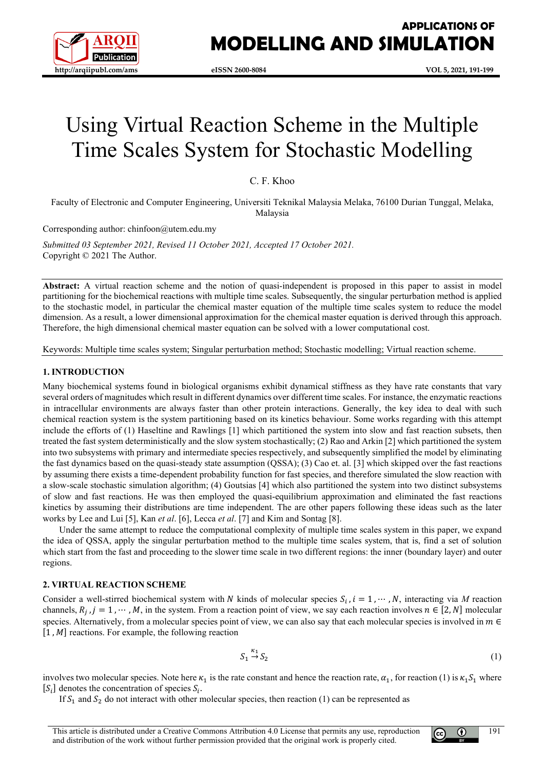

# **APPLICATIONS OF MODELLING AND SIMULATION**

# Using Virtual Reaction Scheme in the Multiple Time Scales System for Stochastic Modelling

C. F. Khoo

Faculty of Electronic and Computer Engineering, Universiti Teknikal Malaysia Melaka, 76100 Durian Tunggal, Melaka, Malaysia

Corresponding author: chinfoon@utem.edu.my

*Submitted 03 September 2021, Revised 11 October 2021, Accepted 17 October 2021.* Copyright © 2021 The Author.

**Abstract:** A virtual reaction scheme and the notion of quasi-independent is proposed in this paper to assist in model partitioning for the biochemical reactions with multiple time scales. Subsequently, the singular perturbation method is applied to the stochastic model, in particular the chemical master equation of the multiple time scales system to reduce the model dimension. As a result, a lower dimensional approximation for the chemical master equation is derived through this approach. Therefore, the high dimensional chemical master equation can be solved with a lower computational cost.

Keywords: Multiple time scales system; Singular perturbation method; Stochastic modelling; Virtual reaction scheme.

#### **1. INTRODUCTION**

Many biochemical systems found in biological organisms exhibit dynamical stiffness as they have rate constants that vary several orders of magnitudes which result in different dynamics over different time scales. For instance, the enzymatic reactions in intracellular environments are always faster than other protein interactions. Generally, the key idea to deal with such chemical reaction system is the system partitioning based on its kinetics behaviour. Some works regarding with this attempt include the efforts of (1) Haseltine and Rawlings [1] which partitioned the system into slow and fast reaction subsets, then treated the fast system deterministically and the slow system stochastically; (2) Rao and Arkin [2] which partitioned the system into two subsystems with primary and intermediate species respectively, and subsequently simplified the model by eliminating the fast dynamics based on the quasi-steady state assumption (QSSA); (3) Cao et. al. [3] which skipped over the fast reactions by assuming there exists a time-dependent probability function for fast species, and therefore simulated the slow reaction with a slow-scale stochastic simulation algorithm; (4) Goutsias [4] which also partitioned the system into two distinct subsystems of slow and fast reactions. He was then employed the quasi-equilibrium approximation and eliminated the fast reactions kinetics by assuming their distributions are time independent. The are other papers following these ideas such as the later works by Lee and Lui [5], Kan *et al*. [6], Lecca *et al*. [7] and Kim and Sontag [8].

Under the same attempt to reduce the computational complexity of multiple time scales system in this paper, we expand the idea of QSSA, apply the singular perturbation method to the multiple time scales system, that is, find a set of solution which start from the fast and proceeding to the slower time scale in two different regions: the inner (boundary layer) and outer regions.

### **2. VIRTUAL REACTION SCHEME**

Consider a well-stirred biochemical system with N kinds of molecular species  $S_i$ ,  $i = 1, \dots, N$ , interacting via M reaction channels,  $R_j$ ,  $j = 1, \dots, M$ , in the system. From a reaction point of view, we say each reaction involves  $n \in [2, N]$  molecular species. Alternatively, from a molecular species point of view, we can also say that each molecular species is involved in  $m \in$  $[1, M]$  reactions. For example, the following reaction

$$
S_1 \stackrel{\kappa_1}{\to} S_2 \tag{1}
$$

involves two molecular species. Note here  $\kappa_1$  is the rate constant and hence the reaction rate,  $\alpha_1$ , for reaction (1) is  $\kappa_1 S_1$  where  $[S_i]$  denotes the concentration of species  $S_i$ .

If  $S_1$  and  $S_2$  do not interact with other molecular species, then reaction (1) can be represented as

This article is distributed under a Creative Commons Attribution 4.0 License that permits any use, reproduction and distribution of the work without further permission provided that the original work is properly cited.

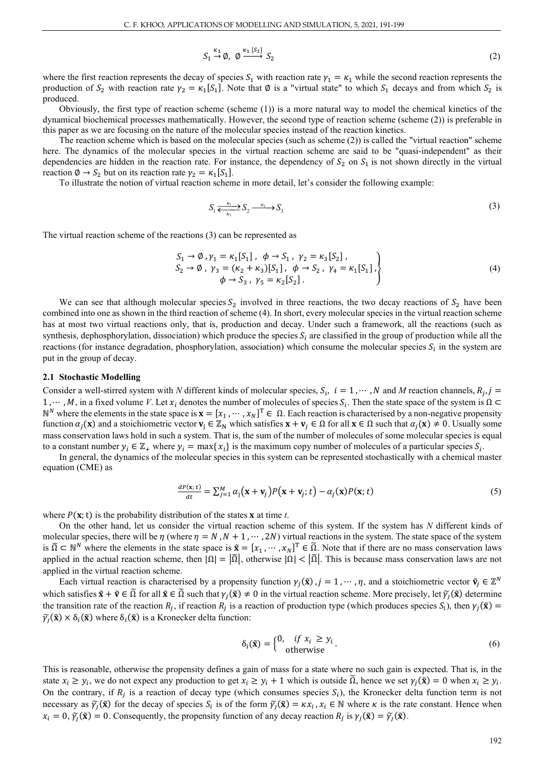$$
S_1 \stackrel{\kappa_1}{\to} \emptyset, \ \emptyset \stackrel{\kappa_1 [S_1]}{\longrightarrow} S_2 \tag{2}
$$

where the first reaction represents the decay of species  $S_1$  with reaction rate  $\gamma_1 = \kappa_1$  while the second reaction represents the production of  $S_2$  with reaction rate  $\gamma_2 = \kappa_1[S_1]$ . Note that Ø is a "virtual state" to which  $S_1$  decays and from which  $S_2$  is produced.

Obviously, the first type of reaction scheme (scheme (1)) is a more natural way to model the chemical kinetics of the dynamical biochemical processes mathematically. However, the second type of reaction scheme (scheme (2)) is preferable in this paper as we are focusing on the nature of the molecular species instead of the reaction kinetics.

The reaction scheme which is based on the molecular species (such as scheme (2)) is called the "virtual reaction" scheme here. The dynamics of the molecular species in the virtual reaction scheme are said to be "quasi-independent" as their dependencies are hidden in the reaction rate. For instance, the dependency of  $S_2$  on  $S_1$  is not shown directly in the virtual reaction  $\emptyset \rightarrow S_2$  but on its reaction rate  $\gamma_2 = \kappa_1[S_1]$ .

To illustrate the notion of virtual reaction scheme in more detail, let's consider the following example:

$$
S_1 \xleftarrow{\kappa_1} S_2 \xrightarrow{\kappa_3} S_3 \tag{3}
$$

The virtual reaction scheme of the reactions (3) can be represented as

$$
S_1 \to \emptyset, \gamma_1 = \kappa_1[S_1], \ \ \phi \to S_1, \ \gamma_2 = \kappa_3[S_2], S_2 \to \emptyset, \ \gamma_3 = (\kappa_2 + \kappa_3)[S_1], \ \ \phi \to S_2, \ \gamma_4 = \kappa_1[S_1], \phi \to S_3, \ \gamma_5 = \kappa_2[S_2].
$$
\n(4)

We can see that although molecular species  $S_2$  involved in three reactions, the two decay reactions of  $S_2$  have been combined into one as shown in the third reaction of scheme (4). In short, every molecular species in the virtual reaction scheme has at most two virtual reactions only, that is, production and decay. Under such a framework, all the reactions (such as synthesis, dephosphorylation, dissociation) which produce the species  $S_i$  are classified in the group of production while all the reactions (for instance degradation, phosphorylation, association) which consume the molecular species  $S_i$  in the system are put in the group of decay.

#### **2.1 Stochastic Modelling**

Consider a well-stirred system with *N* different kinds of molecular species,  $S_i$ ,  $i = 1, \dots, N$  and *M* reaction channels,  $R_i$ ,  $j =$ 1, …, M, in a fixed volume V. Let  $x_i$  denotes the number of molecules of species  $S_i$ . Then the state space of the system is  $\Omega \subset$ N<sup>N</sup> where the elements in the state space is **x** = [ $x_1$ , ⋅⋅⋅,  $x_N$ ]<sup>T</sup> ∈ Ω. Each reaction is characterised by a non-negative propensity function  $\alpha_j(x)$  and a stoichiometric vector  $v_j \in \mathbb{Z}_N$  which satisfies  $x + v_j \in \Omega$  for all  $x \in \Omega$  such that  $\alpha_j(x) \neq 0$ . Usually some mass conservation laws hold in such a system. That is, the sum of the number of molecules of some molecular species is equal to a constant number  $y_i \in \mathbb{Z}_+$  where  $y_i = \max\{x_i\}$  is the maximum copy number of molecules of a particular species  $S_i$ .

In general, the dynamics of the molecular species in this system can be represented stochastically with a chemical master equation (CME) as

$$
\frac{dP(\mathbf{x};t)}{dt} = \sum_{j=1}^{M} \alpha_j (\mathbf{x} + \mathbf{v}_j) P(\mathbf{x} + \mathbf{v}_j; t) - \alpha_j (\mathbf{x}) P(\mathbf{x}; t)
$$
(5)

where  $P(x; t)$  is the probability distribution of the states **x** at time *t*.

On the other hand, let us consider the virtual reaction scheme of this system. If the system has *N* different kinds of molecular species, there will be  $\eta$  (where  $\eta = N$ ,  $N + 1, \dots, 2N$ ) virtual reactions in the system. The state space of the system is  $\tilde{\Omega} \subset \mathbb{N}^N$  where the elements in the state space is  $\tilde{\mathbf{x}} = [x_1, \dots, x_N]^T \in \tilde{\Omega}$ . Note that if there are no mass conservation laws applied in the actual reaction scheme, then  $|\Omega| = |\overline{\Omega}|$ , otherwise  $|\Omega| < |\overline{\Omega}|$ . This is because mass conservation laws are not applied in the virtual reaction scheme.

Each virtual reaction is characterised by a propensity function  $\gamma_j(\tilde{\mathbf{x}})$ ,  $j = 1, \dots, \eta$ , and a stoichiometric vector  $\tilde{\mathbf{v}}_j \in \mathbb{Z}^N$ which satisfies  $\tilde{\mathbf{x}} + \tilde{\mathbf{v}} \in \tilde{\Omega}$  for all  $\tilde{\mathbf{x}} \in \tilde{\Omega}$  such that  $\gamma_i(\tilde{\mathbf{x}}) \neq 0$  in the virtual reaction scheme. More precisely, let  $\tilde{\gamma}_i(\tilde{\mathbf{x}})$  determine the transition rate of the reaction  $R_j$ , if reaction  $R_j$  is a reaction of production type (which produces species  $S_i$ ), then  $\gamma_j(\tilde{\mathbf{x}})$  =  $\widetilde{\gamma}_i(\widetilde{\mathbf{x}}) \times \delta_i(\widetilde{\mathbf{x}})$  where  $\delta_i(\widetilde{\mathbf{x}})$  is a Kronecker delta function:

$$
\delta_i(\tilde{\mathbf{x}}) = \begin{cases} 0, & \text{if } x_i \ge y_i \\ & \text{otherwise} \end{cases} . \tag{6}
$$

This is reasonable, otherwise the propensity defines a gain of mass for a state where no such gain is expected. That is, in the state  $x_i \geq y_i$ , we do not expect any production to get  $x_i \geq y_i + 1$  which is outside  $\overline{\Omega}$ , hence we set  $\gamma_i(\tilde{\mathbf{x}}) = 0$  when  $x_i \geq y_i$ . On the contrary, if  $R_i$  is a reaction of decay type (which consumes species  $S_i$ ), the Kronecker delta function term is not necessary as  $\tilde{\gamma}_i(\tilde{\mathbf{x}})$  for the decay of species  $S_i$  is of the form  $\tilde{\gamma}_i(\tilde{\mathbf{x}}) = \kappa x_i$ ,  $x_i \in \mathbb{N}$  where  $\kappa$  is the rate constant. Hence when  $x_i = 0$ ,  $\widetilde{\gamma}_i(\widetilde{\mathbf{x}}) = 0$ . Consequently, the propensity function of any decay reaction  $R_i$  is  $\gamma_i(\widetilde{\mathbf{x}}) = \widetilde{\gamma}_i(\widetilde{\mathbf{x}})$ .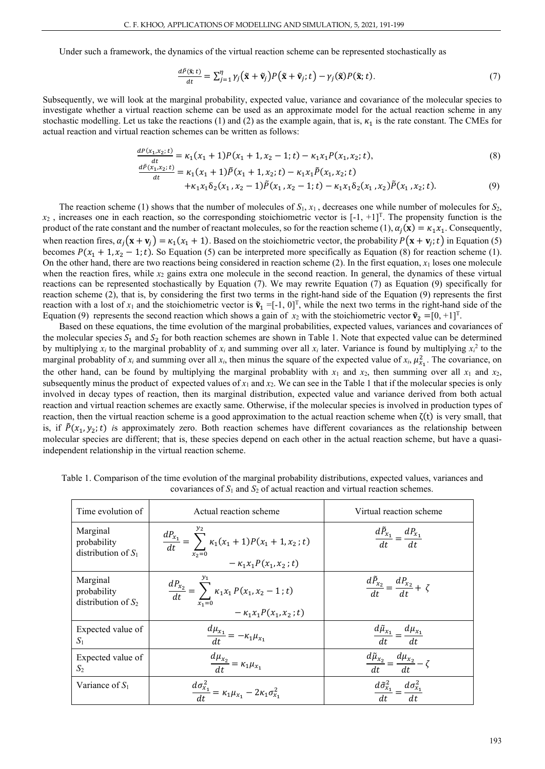Under such a framework, the dynamics of the virtual reaction scheme can be represented stochastically as

$$
\frac{d\tilde{P}(\tilde{\mathbf{x}};t)}{dt} = \sum_{j=1}^{\eta} \gamma_j (\tilde{\mathbf{x}} + \tilde{\mathbf{v}}_j) P(\tilde{\mathbf{x}} + \tilde{\mathbf{v}}_j; t) - \gamma_j (\tilde{\mathbf{x}}) P(\tilde{\mathbf{x}}; t). \tag{7}
$$

Subsequently, we will look at the marginal probability, expected value, variance and covariance of the molecular species to investigate whether a virtual reaction scheme can be used as an approximate model for the actual reaction scheme in any stochastic modelling. Let us take the reactions (1) and (2) as the example again, that is,  $\kappa_1$  is the rate constant. The CMEs for actual reaction and virtual reaction schemes can be written as follows:

$$
\frac{dP(x_1, x_2; t)}{dt} = \kappa_1(x_1 + 1)P(x_1 + 1, x_2 - 1; t) - \kappa_1 x_1 P(x_1, x_2; t),
$$
\n(8)

$$
\frac{dP(x_1, x_2; t)}{dt} = \kappa_1(x_1 + 1)\tilde{P}(x_1 + 1, x_2; t) - \kappa_1 x_1 \tilde{P}(x_1, x_2; t)
$$

$$
+\kappa_1 x_1 \delta_2(x_1, x_2-1)\tilde{P}(x_1, x_2-1; t) -\kappa_1 x_1 \delta_2(x_1, x_2)\tilde{P}(x_1, x_2; t).
$$
\n(9)

The reaction scheme (1) shows that the number of molecules of  $S_1$ ,  $x_1$ , decreases one while number of molecules for  $S_2$ ,  $x_2$ , increases one in each reaction, so the corresponding stoichiometric vector is  $[-1, +1]^T$ . The propensity function is the product of the rate constant and the number of reactant molecules, so for the reaction scheme (1),  $\alpha_i(\mathbf{x}) = \kappa_1 x_i$ . Consequently, when reaction fires,  $\alpha_j$  ( $\mathbf{x} + \mathbf{v}_j$ ) =  $\kappa_1$ ( $\kappa_1$  + 1). Based on the stoichiometric vector, the probability  $P(\mathbf{x} + \mathbf{v}_j; t)$  in Equation (5) becomes  $P(x_1 + 1, x_2 - 1; t)$ . So Equation (5) can be interpreted more specifically as Equation (8) for reaction scheme (1). On the other hand, there are two reactions being considered in reaction scheme (2). In the first equation, *x*<sup>1</sup> loses one molecule when the reaction fires, while  $x_2$  gains extra one molecule in the second reaction. In general, the dynamics of these virtual reactions can be represented stochastically by Equation (7). We may rewrite Equation (7) as Equation (9) specifically for reaction scheme (2), that is, by considering the first two terms in the right-hand side of the Equation (9) represents the first reaction with a lost of  $x_1$  and the stoichiometric vector is  $\tilde{v}_1 = [-1, 0]^T$ , while the next two terms in the right-hand side of the Equation (9) represents the second reaction which shows a gain of  $x_2$  with the stoichiometric vector  $\tilde{\mathbf{v}}_2 = [0, +1]^T$ .

Based on these equations, the time evolution of the marginal probabilities, expected values, variances and covariances of the molecular species  $S_1$  and  $S_2$  for both reaction schemes are shown in Table 1. Note that expected value can be determined by multiplying  $x_i$  to the marginal probablity of  $x_i$  and summing over all  $x_i$  later. Variance is found by multiplying  $x_i^2$  to the marginal probablity of  $x_i$  and summing over all  $x_i$ , then minus the square of the expected value of  $x_i$ ,  $\mu_{x_1}^2$ . The covariance, on the other hand, can be found by multiplying the marginal probablity with  $x_1$  and  $x_2$ , then summing over all  $x_1$  and  $x_2$ , subsequently minus the product of expected values of  $x_1$  and  $x_2$ . We can see in the Table 1 that if the molecular species is only involved in decay types of reaction, then its marginal distribution, expected value and variance derived from both actual reaction and virtual reaction schemes are exactly same. Otherwise, if the molecular species is involved in production types of reaction, then the virtual reaction scheme is a good approximation to the actual reaction scheme when  $\zeta(t)$  is very small, that is, if  $\tilde{P}(x_1, y_2; t)$  is approximately zero. Both reaction schemes have different covariances as the relationship between molecular species are different; that is, these species depend on each other in the actual reaction scheme, but have a quasiindependent relationship in the virtual reaction scheme.

| Time evolution of                                | Actual reaction scheme                                                                                           | Virtual reaction scheme                                                   |
|--------------------------------------------------|------------------------------------------------------------------------------------------------------------------|---------------------------------------------------------------------------|
| Marginal<br>probability<br>distribution of $S_1$ | $\frac{dP_{x_1}}{dt} = \sum_{x_2=0}^{1} \kappa_1(x_1 + 1) P(x_1 + 1, x_2; t)$<br>- $\kappa_1 x_1 P(x_1, x_2; t)$ | $\frac{d\tilde{P}_{x_1}}{dt} = \frac{dP_{x_1}}{dt}$                       |
| Marginal<br>probability<br>distribution of $S_2$ | $\frac{dP_{x_2}}{dt} = \sum_{x_1=0}^{1} \kappa_1 x_1 P(x_1, x_2 - 1; t)$<br>- $\kappa_1 x_1 P(x_1, x_2; t)$      | $\frac{dP_{x_2}}{dt} = \frac{dP_{x_2}}{dt} + \zeta$                       |
| Expected value of<br>$S_1$                       | $\frac{d\mu_{x_1}}{dt} = -\kappa_1 \mu_{x_1}$                                                                    | $\frac{d\tilde{\mu}_{x_1}}{dt} = \frac{d\mu_{x_1}}{dt}$                   |
| Expected value of<br>S <sub>2</sub>              | $\frac{d\mu_{x_2}}{dt} = \kappa_1 \mu_{x_1}$                                                                     | $\frac{d\tilde{\mu}_{x_2}}{dt} = \frac{d\mu_{x_2}}{dt} - \zeta$           |
| Variance of $S_1$                                | $\frac{d\sigma_{x_1}^2}{dt} = \kappa_1 \mu_{x_1} - 2\kappa_1 \sigma_{x_1}^2$                                     | $\frac{d\tilde{\sigma}_{x_1}^2}{dx_1^2} = \frac{d\sigma_{x_1}^2}{dx_1^2}$ |

Table 1. Comparison of the time evolution of the marginal probability distributions, expected values, variances and covariances of  $S_1$  and  $S_2$  of actual reaction and virtual reaction schemes.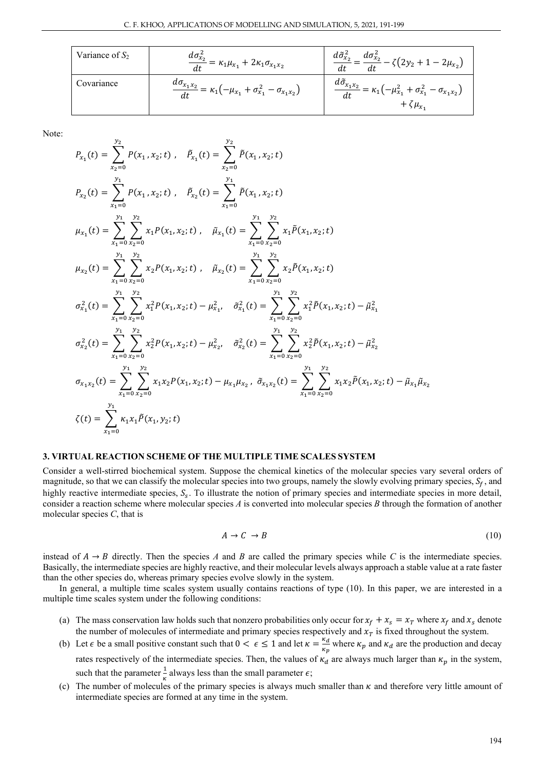| Variance of $S_2$ | $\frac{d\sigma_{x_2}^2}{dt} = \kappa_1 \mu_{x_1} + 2\kappa_1 \sigma_{x_1 x_2}$          | $d\tilde{\sigma}_{x_2}^2$<br>$\frac{1}{2} = \frac{d\sigma_{x_2}^2}{dt} - \zeta(2y_2 + 1 - 2\mu_{x_2})$                   |
|-------------------|-----------------------------------------------------------------------------------------|--------------------------------------------------------------------------------------------------------------------------|
| Covariance        | $\frac{d\sigma_{x_1x_2}}{dt} = \kappa_1(-\mu_{x_1} + \sigma_{x_1}^2 - \sigma_{x_1x_2})$ | $\frac{d\tilde{\sigma}_{x_1x_2}}{dx_1} = \kappa_1(-\mu_{x_1}^2 + \sigma_{x_1}^2 - \sigma_{x_1x_2})$<br>$+\zeta\mu_{x_1}$ |

Note:

$$
P_{x_1}(t) = \sum_{x_2=0}^{y_2} P(x_1, x_2; t), \quad \tilde{P}_{x_1}(t) = \sum_{x_2=0}^{y_2} \tilde{P}(x_1, x_2; t)
$$
  
\n
$$
P_{x_2}(t) = \sum_{x_1=0}^{y_1} \sum_{x_2=0}^{y_2} x_1 P(x_1, x_2; t), \quad \tilde{P}_{x_2}(t) = \sum_{x_1=0}^{y_1} \sum_{x_2=0}^{y_2} x_1 \tilde{P}(x_1, x_2; t)
$$
  
\n
$$
\mu_{x_1}(t) = \sum_{x_1=0}^{y_1} \sum_{x_2=0}^{y_2} x_1 P(x_1, x_2; t), \quad \tilde{\mu}_{x_1}(t) = \sum_{x_1=0}^{y_1} \sum_{x_2=0}^{y_2} x_1 \tilde{P}(x_1, x_2; t)
$$
  
\n
$$
\mu_{x_2}(t) = \sum_{x_1=0}^{y_1} \sum_{x_2=0}^{y_2} x_2 P(x_1, x_2; t), \quad \tilde{\mu}_{x_2}(t) = \sum_{x_1=0}^{y_1} \sum_{x_2=0}^{y_2} x_2 \tilde{P}(x_1, x_2; t)
$$
  
\n
$$
\sigma_{x_1}^2(t) = \sum_{x_1=0}^{y_1} \sum_{x_2=0}^{y_2} x_1^2 P(x_1, x_2; t) - \mu_{x_1}^2, \quad \tilde{\sigma}_{x_1}^2(t) = \sum_{x_1=0}^{y_1} \sum_{x_2=0}^{y_2} x_1^2 \tilde{P}(x_1, x_2; t) - \tilde{\mu}_{x_1}^2
$$
  
\n
$$
\sigma_{x_2}^2(t) = \sum_{x_1=0}^{y_1} \sum_{x_2=0}^{y_2} x_2^2 P(x_1, x_2; t) - \mu_{x_2}^2, \quad \tilde{\sigma}_{x_2}^2(t) = \sum_{x_1=0}^{y_1} \sum_{x_2=0}^{y_2} x_2^2 \tilde{P}(x_1, x_2; t) - \tilde{\mu}_{x
$$

## **3. VIRTUAL REACTION SCHEME OF THE MULTIPLE TIME SCALES SYSTEM**

Consider a well-stirred biochemical system. Suppose the chemical kinetics of the molecular species vary several orders of magnitude, so that we can classify the molecular species into two groups, namely the slowly evolving primary species,  $S_f$ , and highly reactive intermediate species,  $S_s$ . To illustrate the notion of primary species and intermediate species in more detail, consider a reaction scheme where molecular species *A* is converted into molecular species *B* through the formation of another molecular species *C*, that is

$$
A \to C \to B \tag{10}
$$

instead of  $A \rightarrow B$  directly. Then the species *A* and *B* are called the primary species while *C* is the intermediate species. Basically, the intermediate species are highly reactive, and their molecular levels always approach a stable value at a rate faster than the other species do, whereas primary species evolve slowly in the system.

In general, a multiple time scales system usually contains reactions of type (10). In this paper, we are interested in a multiple time scales system under the following conditions:

- (a) The mass conservation law holds such that nonzero probabilities only occur for  $x_f + x_s = x_T$  where  $x_f$  and  $x_s$  denote the number of molecules of intermediate and primary species respectively and  $x<sub>T</sub>$  is fixed throughout the system.
- (b) Let  $\epsilon$  be a small positive constant such that  $0 < \epsilon \le 1$  and let  $\kappa = \frac{\kappa_d}{\kappa_p}$  where  $\kappa_p$  and  $\kappa_d$  are the production and decay rates respectively of the intermediate species. Then, the values of  $\kappa_d$  are always much larger than  $\kappa_p$  in the system, such that the parameter  $\frac{1}{\kappa}$  always less than the small parameter  $\epsilon$ ;
- (c) The number of molecules of the primary species is always much smaller than  $\kappa$  and therefore very little amount of intermediate species are formed at any time in the system.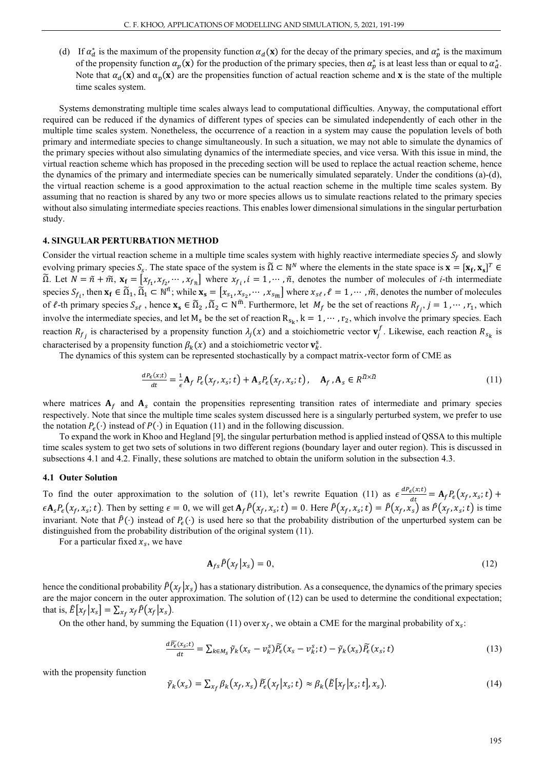(d) If  $\alpha_d^*$  is the maximum of the propensity function  $\alpha_d(x)$  for the decay of the primary species, and  $\alpha_p^*$  is the maximum of the propensity function  $\alpha_p(\mathbf{x})$  for the production of the primary species, then  $\alpha_p^*$  is at least less than or equal to  $\alpha_d^*$ . Note that  $\alpha_d(\mathbf{x})$  and  $\alpha_p(\mathbf{x})$  are the propensities function of actual reaction scheme and **x** is the state of the multiple time scales system.

Systems demonstrating multiple time scales always lead to computational difficulties. Anyway, the computational effort required can be reduced if the dynamics of different types of species can be simulated independently of each other in the multiple time scales system. Nonetheless, the occurrence of a reaction in a system may cause the population levels of both primary and intermediate species to change simultaneously. In such a situation, we may not able to simulate the dynamics of the primary species without also simulating dynamics of the intermediate species, and vice versa. With this issue in mind, the virtual reaction scheme which has proposed in the preceding section will be used to replace the actual reaction scheme, hence the dynamics of the primary and intermediate species can be numerically simulated separately. Under the conditions (a)-(d), the virtual reaction scheme is a good approximation to the actual reaction scheme in the multiple time scales system. By assuming that no reaction is shared by any two or more species allows us to simulate reactions related to the primary species without also simulating intermediate species reactions. This enables lower dimensional simulations in the singular perturbation study.

#### **4. SINGULAR PERTURBATION METHOD**

Consider the virtual reaction scheme in a multiple time scales system with highly reactive intermediate species  $S_f$  and slowly evolving primary species  $S_s$ . The state space of the system is  $\tilde{\Omega} \subset \mathbb{N}^N$  where the elements in the state space is  $\mathbf{x} = [\mathbf{x}_f, \mathbf{x}_s]^T \in$  $\tilde{\Omega}$ . Let  $N = \tilde{n} + \tilde{m}$ ,  $\mathbf{x_f} = [x_{f_1}, x_{f_2}, \dots, x_{f_{\tilde{n}}}]$  where  $x_{f_i}$ ,  $i = 1, \dots, \tilde{n}$ , denotes the number of molecules of *i*-th intermediate species  $S_{f_i}$ , then  $\mathbf{x_f} \in \tilde{\Omega}_1$ ,  $\tilde{\Omega}_1 \subset \mathbb{N}^n$ ; while  $\mathbf{x_s} = [x_{s_1}, x_{s_2}, \dots, x_{s_{\tilde{m}}}]$  where  $x_{s\ell}$ ,  $\ell = 1, \dots, \tilde{m}$ , denotes the number of molecules of  $\ell$ -th primary species  $S_{s\ell}$ , hence  $\mathbf{x}_s \in \tilde{\Omega}_2$ ,  $\tilde{\Omega}_2 \subset \mathbb{N}^m$ . Furthermore, let  $M_f$  be the set of reactions  $R_{f_j}$ ,  $j = 1, \dots, r_1$ , which involve the intermediate species, and let  $M_s$  be the set of reaction  $R_{s_k}$ ,  $k = 1, \dots, r_2$ , which involve the primary species. Each reaction  $R_{f_j}$  is characterised by a propensity function  $\lambda_j(x)$  and a stoichiometric vector  $\mathbf{v}_j^f$ . Likewise, each reaction  $R_{s_k}$  is characterised by a propensity function  $\beta_k(x)$  and a stoichiometric vector  $\mathbf{v}_k^s$ .

The dynamics of this system can be represented stochastically by a compact matrix-vector form of CME as

$$
\frac{dP_{\epsilon}(x;t)}{dt} = \frac{1}{\epsilon} \mathbf{A}_f P_{\epsilon}(x_f, x_s; t) + \mathbf{A}_s P_{\epsilon}(x_f, x_s; t), \quad \mathbf{A}_f, \mathbf{A}_s \in R^{\tilde{\Omega} \times \tilde{\Omega}}
$$
(11)

where matrices  $A_f$  and  $A_s$  contain the propensities representing transition rates of intermediate and primary species respectively. Note that since the multiple time scales system discussed here is a singularly perturbed system, we prefer to use the notation  $P_{\epsilon}(\cdot)$  instead of  $P(\cdot)$  in Equation (11) and in the following discussion.

To expand the work in Khoo and Hegland [9], the singular perturbation method is applied instead of QSSA to this multiple time scales system to get two sets of solutions in two different regions (boundary layer and outer region). This is discussed in subsections 4.1 and 4.2. Finally, these solutions are matched to obtain the uniform solution in the subsection 4.3.

#### **4.1 Outer Solution**

To find the outer approximation to the solution of (11), let's rewrite Equation (11) as  $\epsilon \frac{dP_e(x;t)}{dt} = A_f P_e(x_f, x_s; t) +$  $\epsilon A_s P_{\epsilon}(x_f, x_s; t)$ . Then by setting  $\epsilon = 0$ , we will get  $A_f \hat{P}(x_f, x_s; t) = 0$ . Here  $\hat{P}(x_f, x_s; t) = \hat{P}(x_f, x_s)$  as  $\hat{P}(x_f, x_s; t)$  is time invariant. Note that  $\hat{P}(\cdot)$  instead of  $P_{\epsilon}(\cdot)$  is used here so that the probability distribution of the unperturbed system can be distinguished from the probability distribution of the original system (11).

For a particular fixed  $x_s$ , we have

$$
\mathbf{A}_{fs}\hat{P}(x_f|x_s) = 0,\tag{12}
$$

hence the conditional probability  $\hat{P}(x_f|x_s)$  has a stationary distribution. As a consequence, the dynamics of the primary species are the major concern in the outer approximation. The solution of (12) can be used to determine the conditional expectation; that is,  $\hat{E}[x_f | x_s] = \sum_{x_f} x_f \hat{P}(x_f | x_s)$ .

On the other hand, by summing the Equation (11) over  $x_f$ , we obtain a CME for the marginal probability of  $x_s$ :

$$
\frac{d\widetilde{P_{\epsilon}}(x_{s};t)}{dt} = \sum_{k \in M_{S}} \widetilde{p}_{k}(x_{s} - v_{k}^{S}) \widetilde{P_{\epsilon}}(x_{s} - v_{k}^{S};t) - \widetilde{p}_{k}(x_{s}) \widetilde{P_{\epsilon}}(x_{s};t)
$$
(13)

with the propensity function

$$
\tilde{\gamma}_k(x_s) = \sum_{x_f} \beta_k(x_f, x_s) \,\tilde{P}_{\epsilon}(x_f | x_s; t) \approx \beta_k(\tilde{E}[x_f | x_s; t], x_s). \tag{14}
$$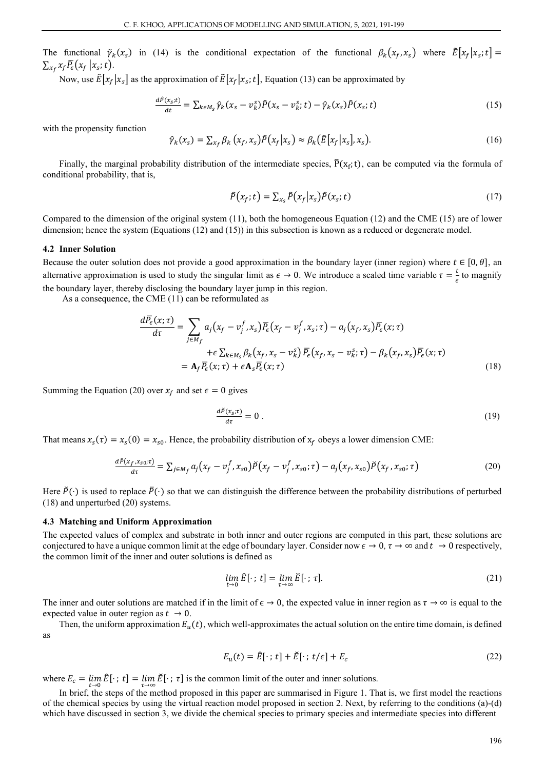The functional  $\tilde{\gamma}_k(x_s)$  in (14) is the conditional expectation of the functional  $\beta_k(x_f, x_s)$  where  $\tilde{E}[x_f | x_s; t] =$  $\sum_{x_f} x_f \overline{P}_\epsilon(x_f | x_s; t).$ 

Now, use  $\hat{E}[x_f|x_s]$  as the approximation of  $\tilde{E}[x_f|x_s;t]$ , Equation (13) can be approximated by

$$
\frac{d\hat{P}(x_s;t)}{dt} = \sum_{k \in M_S} \hat{\gamma}_k (x_s - v_k^S) \hat{P}(x_s - v_k^S; t) - \hat{\gamma}_k (x_s) \hat{P}(x_s; t)
$$
(15)

with the propensity function

$$
\hat{\gamma}_k(x_s) = \sum_{x_f} \beta_k \left( x_f, x_s \right) \hat{P} \left( x_f | x_s \right) \approx \beta_k \left( \hat{E} \left[ x_f | x_s \right], x_s \right). \tag{16}
$$

Finally, the marginal probability distribution of the intermediate species,  $\hat{P}(x_f; t)$ , can be computed via the formula of conditional probability, that is,

$$
\widehat{P}(x_f; t) = \sum_{x_s} \widehat{P}(x_f | x_s) \widehat{P}(x_s; t)
$$
\n(17)

Compared to the dimension of the original system (11), both the homogeneous Equation (12) and the CME (15) are of lower dimension; hence the system (Equations (12) and (15)) in this subsection is known as a reduced or degenerate model.

#### **4.2 Inner Solution**

Because the outer solution does not provide a good approximation in the boundary layer (inner region) where  $t \in [0, \theta]$ , an alternative approximation is used to study the singular limit as  $\epsilon \to 0$ . We introduce a scaled time variable  $\tau = \frac{t}{\epsilon}$  to magnify the boundary layer, thereby disclosing the boundary layer jump in this region.

As a consequence, the CME (11) can be reformulated as

$$
\frac{d\overline{P_{\epsilon}}(x;\tau)}{d\tau} = \sum_{j \in M_f} a_j (x_f - v_j^f, x_s) \overline{P_{\epsilon}}(x_f - v_j^f, x_s; \tau) - a_j (x_f, x_s) \overline{P_{\epsilon}}(x; \tau)
$$

$$
+ \epsilon \sum_{k \in M_s} \beta_k (x_f, x_s - v_k^s) \overline{P_{\epsilon}}(x_f, x_s - v_k^s; \tau) - \beta_k (x_f, x_s) \overline{P_{\epsilon}}(x; \tau)
$$

$$
= \mathbf{A}_f \overline{P_{\epsilon}}(x; \tau) + \epsilon \mathbf{A}_s \overline{P_{\epsilon}}(x; \tau)
$$
(18)

Summing the Equation (20) over  $x_f$  and set  $\epsilon = 0$  gives

$$
\frac{d\breve{P}(x_{\breve{s}};t)}{d\tau} = 0.
$$
 (19)

That means  $x_s(\tau) = x_s(0) = x_{s0}$ . Hence, the probability distribution of  $x_f$  obeys a lower dimension CME:

$$
\frac{d\breve{P}(x_f, x_{s0}; \tau)}{d\tau} = \sum_{j \in M_f} a_j (x_f - v_j^f, x_{s0}) \breve{P}(x_f - v_j^f, x_{s0}; \tau) - a_j (x_f, x_{s0}) \breve{P}(x_f, x_{s0}; \tau)
$$
(20)

Here  $\check{P}(\cdot)$  is used to replace  $\bar{P}(\cdot)$  so that we can distinguish the difference between the probability distributions of perturbed (18) and unperturbed (20) systems.

#### **4.3 Matching and Uniform Approximation**

The expected values of complex and substrate in both inner and outer regions are computed in this part, these solutions are conjectured to have a unique common limit at the edge of boundary layer. Consider now  $\epsilon \to 0$ ,  $\tau \to \infty$  and  $t \to 0$  respectively, the common limit of the inner and outer solutions is defined as

$$
\lim_{t \to 0} \hat{E}[\cdot; t] = \lim_{\tau \to \infty} \check{E}[\cdot; \tau]. \tag{21}
$$

The inner and outer solutions are matched if in the limit of  $\epsilon \to 0$ , the expected value in inner region as  $\tau \to \infty$  is equal to the expected value in outer region as  $t \rightarrow 0$ .

Then, the uniform approximation  $E_u(t)$ , which well-approximates the actual solution on the entire time domain, is defined as

$$
E_u(t) = \hat{E}[\cdot; t] + \check{E}[\cdot; t/\epsilon] + E_c
$$
\n(22)

where  $E_c = \lim_{\tau \to 0} \hat{E}[\cdot; \tau] = \lim_{\tau \to \infty} \hat{E}[\cdot; \tau]$  is the common limit of the outer and inner solutions.

In brief, the steps of the method proposed in this paper are summarised in Figure 1. That is, we first model the reactions of the chemical species by using the virtual reaction model proposed in section 2. Next, by referring to the conditions (a)-(d) which have discussed in section 3, we divide the chemical species to primary species and intermediate species into different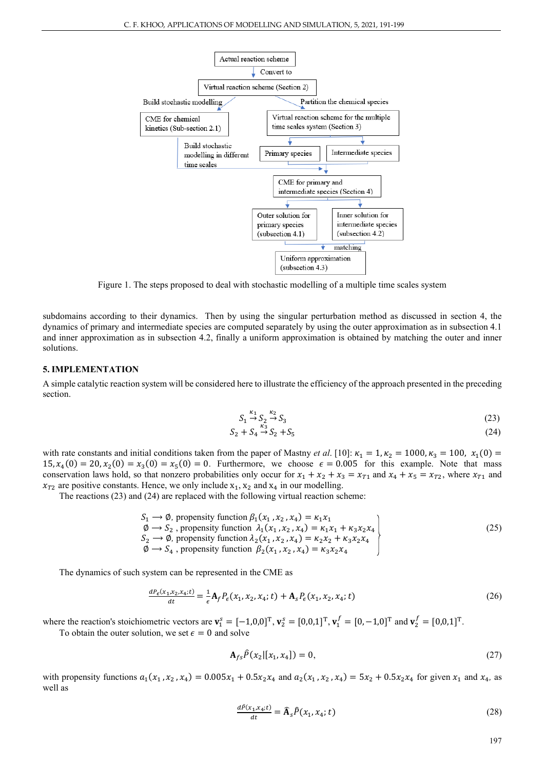

Figure 1. The steps proposed to deal with stochastic modelling of a multiple time scales system

subdomains according to their dynamics. Then by using the singular perturbation method as discussed in section 4, the dynamics of primary and intermediate species are computed separately by using the outer approximation as in subsection 4.1 and inner approximation as in subsection 4.2, finally a uniform approximation is obtained by matching the outer and inner solutions.

#### **5. IMPLEMENTATION**

A simple catalytic reaction system will be considered here to illustrate the efficiency of the approach presented in the preceding section.

$$
S_1 \xrightarrow{\kappa_1} S_2 \xrightarrow{\kappa_2} S_3 \tag{23}
$$

$$
S_2 + S_4 \stackrel{\kappa_3}{\to} S_2 + S_5 \tag{24}
$$

with rate constants and initial conditions taken from the paper of Mastny *et al.* [10]:  $\kappa_1 = 1, \kappa_2 = 1000, \kappa_3 = 100, \kappa_1(0) =$  $15, x_4(0) = 20, x_2(0) = x_3(0) = x_5(0) = 0$ . Furthermore, we choose  $\epsilon = 0.005$  for this example. Note that mass conservation laws hold, so that nonzero probabilities only occur for  $x_1 + x_2 + x_3 = x_{T1}$  and  $x_4 + x_5 = x_{T2}$ , where  $x_{T1}$  and  $x_{T2}$  are positive constants. Hence, we only include  $x_1, x_2$  and  $x_4$  in our modelling.

The reactions (23) and (24) are replaced with the following virtual reaction scheme:

$$
S_1 \rightarrow \emptyset, \text{ propensity function } \beta_1(x_1, x_2, x_4) = \kappa_1 x_1 \n\emptyset \rightarrow S_2, \text{ propensity function } \lambda_1(x_1, x_2, x_4) = \kappa_1 x_1 + \kappa_3 x_2 x_4 \nS_2 \rightarrow \emptyset, \text{ propensity function } \lambda_2(x_1, x_2, x_4) = \kappa_2 x_2 + \kappa_3 x_2 x_4 \n\emptyset \rightarrow S_4, \text{ propensity function } \beta_2(x_1, x_2, x_4) = \kappa_3 x_2 x_4
$$
\n(25)

The dynamics of such system can be represented in the CME as

$$
\frac{dP_{\epsilon}(x_1, x_2, x_4; t)}{dt} = \frac{1}{\epsilon} \mathbf{A}_f P_{\epsilon}(x_1, x_2, x_4; t) + \mathbf{A}_s P_{\epsilon}(x_1, x_2, x_4; t)
$$
(26)

where the reaction's stoichiometric vectors are  $\mathbf{v}_1^s = [-1,0,0]^T$ ,  $\mathbf{v}_2^s = [0,0,1]^T$ ,  $\mathbf{v}_1^f = [0,-1,0]^T$  and  $\mathbf{v}_2^f = [0,0,1]^T$ .

To obtain the outer solution, we set  $\epsilon = 0$  and solve

$$
\mathbf{A}_{fs}\hat{P}(x_2|[x_1, x_4]) = 0,\tag{27}
$$

with propensity functions  $a_1(x_1, x_2, x_4) = 0.005x_1 + 0.5x_2x_4$  and  $a_2(x_1, x_2, x_4) = 5x_2 + 0.5x_2x_4$  for given  $x_1$  and  $x_4$ , as well as

$$
\frac{d\hat{P}(x_1, x_4; t)}{dt} = \hat{\mathbf{A}}_s \hat{P}(x_1, x_4; t) \tag{28}
$$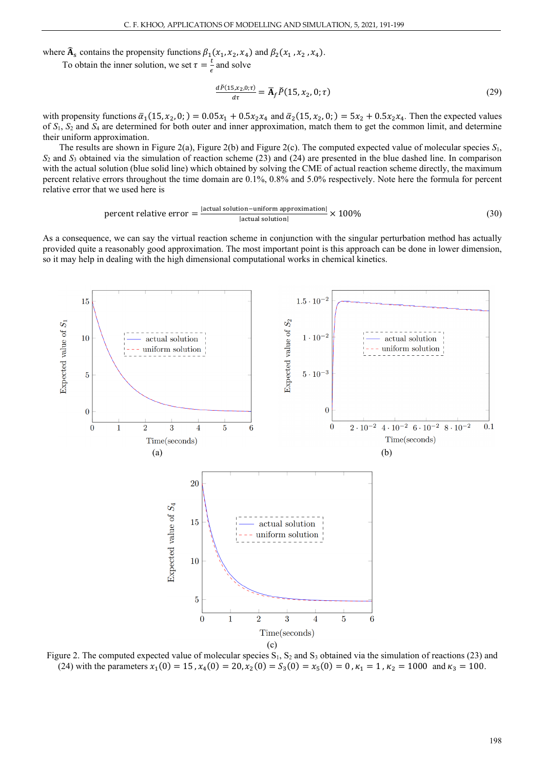where  $\widehat{A}_s$  contains the propensity functions  $\beta_1(x_1, x_2, x_4)$  and  $\beta_2(x_1, x_2, x_4)$ .

To obtain the inner solution, we set  $\tau = \frac{t}{\epsilon}$  and solve

$$
\frac{d\breve{P}(15, x_2, 0; \tau)}{d\tau} = \overline{\mathbf{A}}_f \breve{P}(15, x_2, 0; \tau) \tag{29}
$$

with propensity functions  $\bar{a}_1(15, x_2, 0; ) = 0.05x_1 + 0.5x_2x_4$  and  $\bar{a}_2(15, x_2, 0; ) = 5x_2 + 0.5x_2x_4$ . Then the expected values of *S*1, *S*<sup>2</sup> and *S*<sup>4</sup> are determined for both outer and inner approximation, match them to get the common limit, and determine their uniform approximation.

The results are shown in Figure 2(a), Figure 2(b) and Figure 2(c). The computed expected value of molecular species *S*1, *S*<sup>2</sup> and *S*<sup>3</sup> obtained via the simulation of reaction scheme (23) and (24) are presented in the blue dashed line. In comparison with the actual solution (blue solid line) which obtained by solving the CME of actual reaction scheme directly, the maximum percent relative errors throughout the time domain are 0.1%, 0.8% and 5.0% respectively. Note here the formula for percent relative error that we used here is

$$
percent \text{ relative error} = \frac{|\text{actual solution} - \text{uniform approximation}|}{|\text{actual solution}|} \times 100\%
$$
\n(30)

As a consequence, we can say the virtual reaction scheme in conjunction with the singular perturbation method has actually provided quite a reasonably good approximation. The most important point is this approach can be done in lower dimension, so it may help in dealing with the high dimensional computational works in chemical kinetics.



Figure 2. The computed expected value of molecular species  $S_1$ ,  $S_2$  and  $S_3$  obtained via the simulation of reactions (23) and (24) with the parameters  $x_1(0) = 15$ ,  $x_4(0) = 20$ ,  $x_2(0) = S_3(0) = x_5(0) = 0$ ,  $\kappa_1 = 1$ ,  $\kappa_2 = 1000$  and  $\kappa_3 = 100$ .